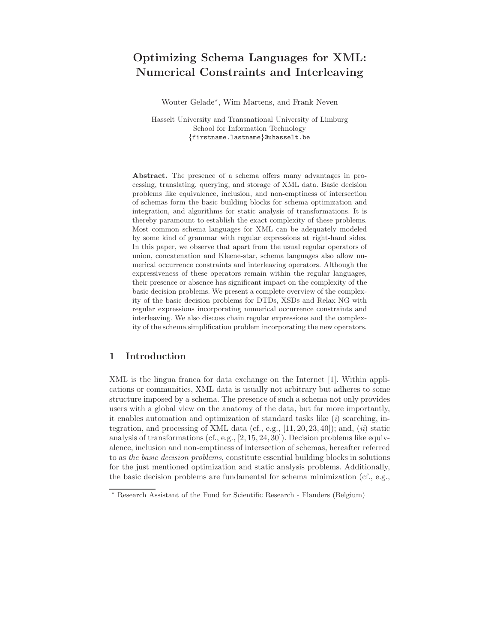# Optimizing Schema Languages for XML: Numerical Constraints and Interleaving

Wouter Gelade<sup>\*</sup>, Wim Martens, and Frank Neven

Hasselt University and Transnational University of Limburg School for Information Technology {firstname.lastname}@uhasselt.be

Abstract. The presence of a schema offers many advantages in processing, translating, querying, and storage of XML data. Basic decision problems like equivalence, inclusion, and non-emptiness of intersection of schemas form the basic building blocks for schema optimization and integration, and algorithms for static analysis of transformations. It is thereby paramount to establish the exact complexity of these problems. Most common schema languages for XML can be adequately modeled by some kind of grammar with regular expressions at right-hand sides. In this paper, we observe that apart from the usual regular operators of union, concatenation and Kleene-star, schema languages also allow numerical occurrence constraints and interleaving operators. Although the expressiveness of these operators remain within the regular languages, their presence or absence has significant impact on the complexity of the basic decision problems. We present a complete overview of the complexity of the basic decision problems for DTDs, XSDs and Relax NG with regular expressions incorporating numerical occurrence constraints and interleaving. We also discuss chain regular expressions and the complexity of the schema simplification problem incorporating the new operators.

# 1 Introduction

XML is the lingua franca for data exchange on the Internet [1]. Within applications or communities, XML data is usually not arbitrary but adheres to some structure imposed by a schema. The presence of such a schema not only provides users with a global view on the anatomy of the data, but far more importantly, it enables automation and optimization of standard tasks like  $(i)$  searching, integration, and processing of XML data (cf., e.g.,  $[11, 20, 23, 40]$ ); and, *(ii)* static analysis of transformations (cf., e.g., [2, 15, 24, 30]). Decision problems like equivalence, inclusion and non-emptiness of intersection of schemas, hereafter referred to as the basic decision problems, constitute essential building blocks in solutions for the just mentioned optimization and static analysis problems. Additionally, the basic decision problems are fundamental for schema minimization (cf., e.g.,

<sup>⋆</sup> Research Assistant of the Fund for Scientific Research - Flanders (Belgium)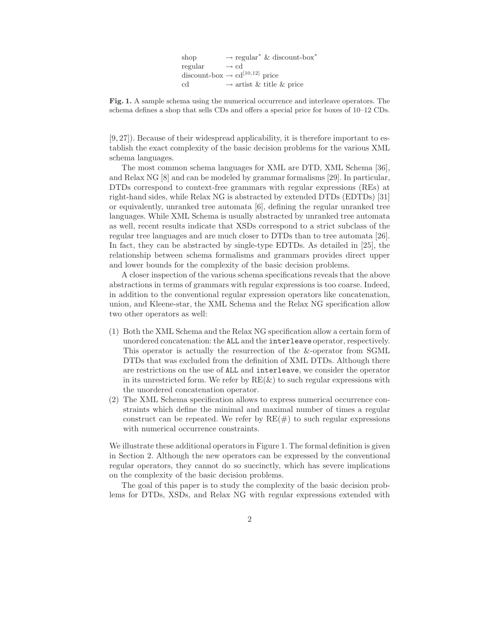| shop                                                   |                  | $\rightarrow$ regular <sup>*</sup> & discount-box <sup>*</sup> |
|--------------------------------------------------------|------------------|----------------------------------------------------------------|
| regular                                                | $\rightarrow$ cd |                                                                |
| discount-box $\rightarrow$ cd <sup>[10,12]</sup> price |                  |                                                                |
| cd                                                     |                  | $\rightarrow$ artist & title & price                           |

Fig. 1. A sample schema using the numerical occurrence and interleave operators. The schema defines a shop that sells CDs and offers a special price for boxes of 10–12 CDs.

[9, 27]). Because of their widespread applicability, it is therefore important to establish the exact complexity of the basic decision problems for the various XML schema languages.

The most common schema languages for XML are DTD, XML Schema [36], and Relax NG [8] and can be modeled by grammar formalisms [29]. In particular, DTDs correspond to context-free grammars with regular expressions (REs) at right-hand sides, while Relax NG is abstracted by extended DTDs (EDTDs) [31] or equivalently, unranked tree automata [6], defining the regular unranked tree languages. While XML Schema is usually abstracted by unranked tree automata as well, recent results indicate that XSDs correspond to a strict subclass of the regular tree languages and are much closer to DTDs than to tree automata [26]. In fact, they can be abstracted by single-type EDTDs. As detailed in [25], the relationship between schema formalisms and grammars provides direct upper and lower bounds for the complexity of the basic decision problems.

A closer inspection of the various schema specifications reveals that the above abstractions in terms of grammars with regular expressions is too coarse. Indeed, in addition to the conventional regular expression operators like concatenation, union, and Kleene-star, the XML Schema and the Relax NG specification allow two other operators as well:

- (1) Both the XML Schema and the Relax NG specification allow a certain form of unordered concatenation: the ALL and the interleave operator, respectively. This operator is actually the resurrection of the &-operator from SGML DTDs that was excluded from the definition of XML DTDs. Although there are restrictions on the use of ALL and interleave, we consider the operator in its unrestricted form. We refer by  $RE(\&)$  to such regular expressions with the unordered concatenation operator.
- (2) The XML Schema specification allows to express numerical occurrence constraints which define the minimal and maximal number of times a regular construct can be repeated. We refer by  $RE(\#)$  to such regular expressions with numerical occurrence constraints.

We illustrate these additional operators in Figure 1. The formal definition is given in Section 2. Although the new operators can be expressed by the conventional regular operators, they cannot do so succinctly, which has severe implications on the complexity of the basic decision problems.

The goal of this paper is to study the complexity of the basic decision problems for DTDs, XSDs, and Relax NG with regular expressions extended with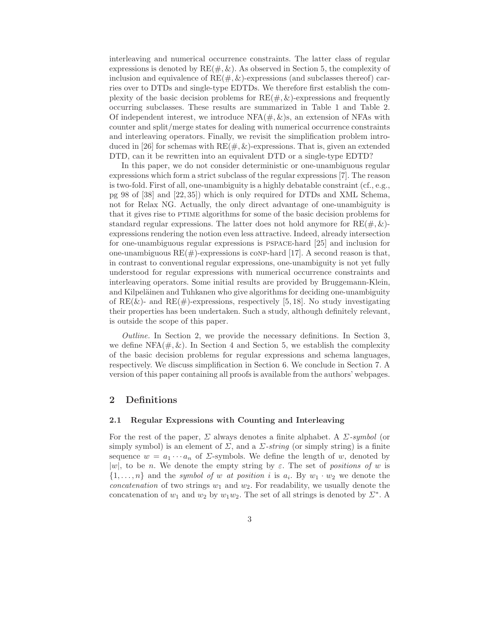interleaving and numerical occurrence constraints. The latter class of regular expressions is denoted by  $RE(\#, \&)$ . As observed in Section 5, the complexity of inclusion and equivalence of  $RE(\#, \&)$ -expressions (and subclasses thereof) carries over to DTDs and single-type EDTDs. We therefore first establish the complexity of the basic decision problems for  $RE(\#, \&)$ -expressions and frequently occurring subclasses. These results are summarized in Table 1 and Table 2. Of independent interest, we introduce  $NFA(\#, \&)$ s, an extension of NFAs with counter and split/merge states for dealing with numerical occurrence constraints and interleaving operators. Finally, we revisit the simplification problem introduced in [26] for schemas with  $RE(\#, \&)$ -expressions. That is, given an extended DTD, can it be rewritten into an equivalent DTD or a single-type EDTD?

In this paper, we do not consider deterministic or one-unambiguous regular expressions which form a strict subclass of the regular expressions [7]. The reason is two-fold. First of all, one-unambiguity is a highly debatable constraint (cf., e.g., pg 98 of [38] and [22, 35]) which is only required for DTDs and XML Schema, not for Relax NG. Actually, the only direct advantage of one-unambiguity is that it gives rise to PTIME algorithms for some of the basic decision problems for standard regular expressions. The latter does not hold anymore for  $RE(\#, \&)$ expressions rendering the notion even less attractive. Indeed, already intersection for one-unambiguous regular expressions is pspace-hard [25] and inclusion for one-unambiguous  $RE(\#)$ -expressions is conp-hard [17]. A second reason is that, in contrast to conventional regular expressions, one-unambiguity is not yet fully understood for regular expressions with numerical occurrence constraints and interleaving operators. Some initial results are provided by Bruggemann-Klein, and Kilpeläinen and Tuhkanen who give algorithms for deciding one-unambiguity of RE( $\&$ )- and RE( $\#$ )-expressions, respectively [5, 18]. No study investigating their properties has been undertaken. Such a study, although definitely relevant, is outside the scope of this paper.

Outline. In Section 2, we provide the necessary definitions. In Section 3, we define NFA $(\#, \&)$ . In Section 4 and Section 5, we establish the complexity of the basic decision problems for regular expressions and schema languages, respectively. We discuss simplification in Section 6. We conclude in Section 7. A version of this paper containing all proofs is available from the authors' webpages.

## 2 Definitions

#### 2.1 Regular Expressions with Counting and Interleaving

For the rest of the paper,  $\Sigma$  always denotes a finite alphabet. A  $\Sigma$ -symbol (or simply symbol) is an element of  $\Sigma$ , and a  $\Sigma$ -string (or simply string) is a finite sequence  $w = a_1 \cdots a_n$  of  $\Sigma$ -symbols. We define the length of w, denoted by |w|, to be n. We denote the empty string by  $\varepsilon$ . The set of positions of w is  $\{1, \ldots, n\}$  and the symbol of w at position i is  $a_i$ . By  $w_1 \cdot w_2$  we denote the concatenation of two strings  $w_1$  and  $w_2$ . For readability, we usually denote the concatenation of  $w_1$  and  $w_2$  by  $w_1w_2$ . The set of all strings is denoted by  $\Sigma^*$ . A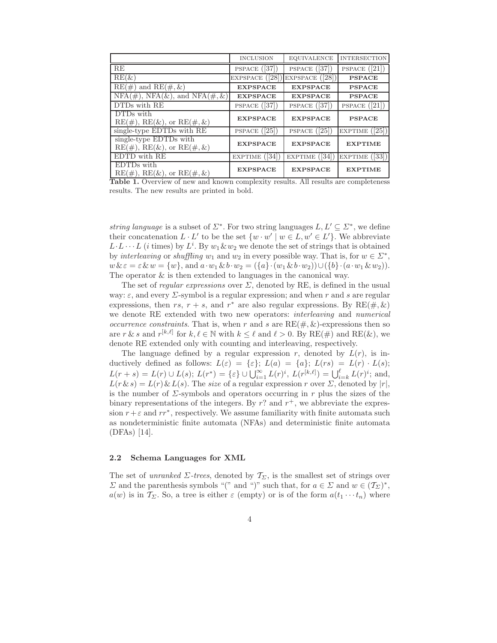|                                                            | <b>INCLUSION</b> | <b>EQUIVALENCE</b> | <b>INTERSECTION</b>    |
|------------------------------------------------------------|------------------|--------------------|------------------------|
| RE                                                         | PSPACE $([37])$  | PSPACE $([37])$    | PSPACE $( 21 )$        |
| $RE(\&)$                                                   | EXPSPACE $(28)$  | EXPSPACE $(28)$    | <b>PSPACE</b>          |
| and $RE(\#, \&)$<br>$RE(\#)$                               | <b>EXPSPACE</b>  | <b>EXPSPACE</b>    | <b>PSPACE</b>          |
| $NFA(\#), NFA(\&), \text{ and } NFA(\#,\&)$                | <b>EXPSPACE</b>  | <b>EXPSPACE</b>    | <b>PSPACE</b>          |
| DTDs with RE                                               | PSPACE $( 37 )$  | PSPACE (37)        | PSPACE $( 21 )$        |
| DTDs with<br>$RE(\#), RE(\&),$ or $RE(\#,\&)$              | <b>EXPSPACE</b>  | <b>EXPSPACE</b>    | <b>PSPACE</b>          |
| single-type EDTDs with RE                                  | $PSPACE$ (25))   | PSPACE (25)        | (25)<br><b>EXPTIME</b> |
| single-type EDTDs with<br>$RE(\#), RE(\&),$ or $RE(\#,\&)$ | <b>EXPSPACE</b>  | <b>EXPSPACE</b>    | <b>EXPTIME</b>         |
| EDTD with RE                                               | EXPTIME $( 34 )$ | EXPTIME $( 34 )$   | EXPTIME $( 33 )$       |
| EDTDs with<br>$RE(\#), RE(\&),$ or $RE(\#,\&)$             | <b>EXPSPACE</b>  | <b>EXPSPACE</b>    | <b>EXPTIME</b>         |

Table 1. Overview of new and known complexity results. All results are completeness results. The new results are printed in bold.

string language is a subset of  $\Sigma^*$ . For two string languages  $L, L' \subseteq \Sigma^*$ , we define their concatenation  $L \cdot L'$  to be the set  $\{w \cdot w' \mid w \in L, w' \in L'\}$ . We abbreviate  $L \cdot L \cdot \cdot \cdot L$  (*i* times) by  $L^i$ . By  $w_1 \& w_2$  we denote the set of strings that is obtained by interleaving or shuffling  $w_1$  and  $w_2$  in every possible way. That is, for  $w \in \Sigma^*$ ,  $w\&\varepsilon = \varepsilon \&\, w = \{w\},\, \text{and}\, a \cdot w_1 \&\, b \cdot w_2 = (\{a\} \cdot (w_1 \&\, b \cdot w_2)) \cup (\{b\} \cdot (a \cdot w_1 \&\, w_2)).$ The operator & is then extended to languages in the canonical way.

The set of *regular expressions* over  $\Sigma$ , denoted by RE, is defined in the usual way:  $\varepsilon$ , and every  $\Sigma$ -symbol is a regular expression; and when r and s are regular expressions, then rs,  $r + s$ , and  $r^*$  are also regular expressions. By RE( $\#$ ,  $\&$ ) we denote RE extended with two new operators: interleaving and numerical occurrence constraints. That is, when r and s are  $RE(\#, \&)$ -expressions then so are r & s and  $r^{[k,\ell]}$  for  $k,\ell \in \mathbb{N}$  with  $k \leq \ell$  and  $\ell > 0$ . By  $RE(\#)$  and  $RE(\&)$ , we denote RE extended only with counting and interleaving, respectively.

The language defined by a regular expression r, denoted by  $L(r)$ , is inductively defined as follows:  $L(\varepsilon) = {\varepsilon}; L(a) = {a}; L(rs) = L(r) \cdot L(s);$  $L(r+s) = L(r) \cup L(s); L(r^*) = {\varepsilon} \cup \bigcup_{i=1}^{\infty} L(r)^i, L(r^{[k,\ell]}) = \bigcup_{i=k}^{\ell} L(r)^i;$  and,  $L(r \& s) = L(r) \& L(s)$ . The size of a regular expression r over  $\Sigma$ , denoted by  $|r|$ , is the number of  $\Sigma$ -symbols and operators occurring in r plus the sizes of the binary representations of the integers. By  $r$ ? and  $r^+$ , we abbreviate the expression  $r + \varepsilon$  and  $rr^*$ , respectively. We assume familiarity with finite automata such as nondeterministic finite automata (NFAs) and deterministic finite automata (DFAs) [14].

#### 2.2 Schema Languages for XML

The set of unranked  $\Sigma$ -trees, denoted by  $\mathcal{T}_{\Sigma}$ , is the smallest set of strings over  $\Sigma$  and the parenthesis symbols "(" and ")" such that, for  $a \in \Sigma$  and  $w \in (\mathcal{T}_{\Sigma})^*$ ,  $a(w)$  is in  $\mathcal{T}_{\Sigma}$ . So, a tree is either  $\varepsilon$  (empty) or is of the form  $a(t_1 \cdots t_n)$  where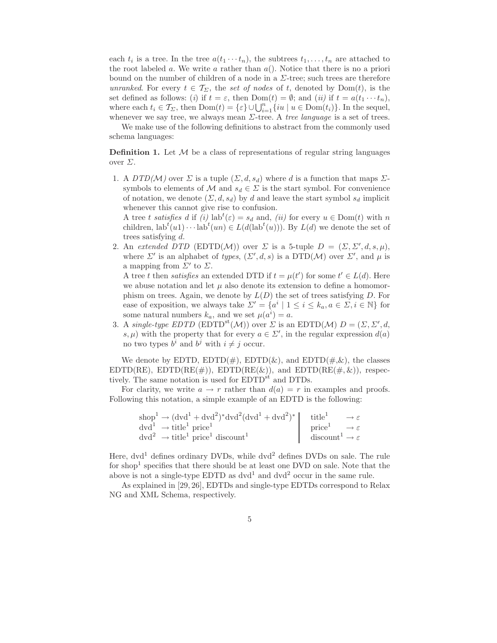each  $t_i$  is a tree. In the tree  $a(t_1 \cdots t_n)$ , the subtrees  $t_1, \ldots, t_n$  are attached to the root labeled a. We write a rather than  $a()$ . Notice that there is no a priori bound on the number of children of a node in a  $\Sigma$ -tree; such trees are therefore unranked. For every  $t \in \mathcal{T}_{\Sigma}$ , the set of nodes of t, denoted by  $Dom(t)$ , is the set defined as follows: (i) if  $t = \varepsilon$ , then  $Dom(t) = \emptyset$ ; and (ii) if  $t = a(t_1 \cdots t_n)$ , where each  $t_i \in \mathcal{T}_{\Sigma}$ , then  $\text{Dom}(t) = \{\varepsilon\} \cup \bigcup_{i=1}^n \{iu \mid u \in \text{Dom}(t_i)\}\.$  In the sequel, whenever we say tree, we always mean  $\Sigma$ -tree. A tree language is a set of trees.

We make use of the following definitions to abstract from the commonly used schema languages:

**Definition 1.** Let  $M$  be a class of representations of regular string languages over  $\Sigma$ .

1. A  $DTD(\mathcal{M})$  over  $\Sigma$  is a tuple  $(\Sigma, d, s_d)$  where d is a function that maps  $\Sigma$ symbols to elements of M and  $s_d \in \Sigma$  is the start symbol. For convenience of notation, we denote  $(\Sigma, d, s_d)$  by d and leave the start symbol  $s_d$  implicit whenever this cannot give rise to confusion.

A tree t satisfies d if  $(i)$  lab<sup>t</sup> $(\varepsilon) = s_d$  and,  $(ii)$  for every  $u \in \text{Dom}(t)$  with n children,  $\mathrm{lab}^{t}(u_1)\cdots \mathrm{lab}^{t}(un) \in L(d(\mathrm{lab}^{t}(u)))$ . By  $L(d)$  we denote the set of trees satisfying d.

2. An extended DTD (EDTD(M)) over  $\Sigma$  is a 5-tuple  $D = (\Sigma, \Sigma', d, s, \mu)$ , where  $\Sigma'$  is an alphabet of types,  $(\Sigma', d, s)$  is a DTD( $\mathcal M$ ) over  $\Sigma'$ , and  $\mu$  is a mapping from  $\Sigma'$  to  $\Sigma$ .

A tree t then satisfies an extended DTD if  $t = \mu(t')$  for some  $t' \in L(d)$ . Here we abuse notation and let  $\mu$  also denote its extension to define a homomorphism on trees. Again, we denote by  $L(D)$  the set of trees satisfying D. For ease of exposition, we always take  $\Sigma' = \{a^i \mid 1 \le i \le k_a, a \in \Sigma, i \in \mathbb{N}\}\)$  for some natural numbers  $k_a$ , and we set  $\mu(a^i) = a$ .

3. A single-type EDTD (EDTD<sup>st</sup> $(\mathcal{M})$ ) over  $\Sigma$  is an EDTD $(\mathcal{M})$   $D = (\Sigma, \Sigma', d,$ s,  $\mu$ ) with the property that for every  $a \in \Sigma'$ , in the regular expression  $d(a)$ no two types  $b^i$  and  $b^j$  with  $i \neq j$  occur.

We denote by EDTD,  $EDTD(\#)$ ,  $EDTD(\&)$ , and  $EDTD(\#,\&)$ , the classes EDTD(RE), EDTD(RE $(\#)$ ), EDTD(RE $(\&)$ ), and EDTD(RE $(\#,\&)$ ), respectively. The same notation is used for EDTD<sup>st</sup> and DTDs.

For clarity, we write  $a \to r$  rather than  $d(a) = r$  in examples and proofs. Following this notation, a simple example of an EDTD is the following:

| $\text{shop}^1 \rightarrow (\text{d} \text{vd}^1 + \text{d} \text{vd}^2)^* \text{d} \text{vd}^2 (\text{d} \text{vd}^1 + \text{d} \text{vd}^2)^* \quad \text{title}^1$ |                                    | $\rightarrow \varepsilon$ |
|-----------------------------------------------------------------------------------------------------------------------------------------------------------------------|------------------------------------|---------------------------|
| $dvd^1 \rightarrow title^1$ price <sup>1</sup>                                                                                                                        | price $\rightarrow \varepsilon$    |                           |
| $dvd^2 \rightarrow title^1 price^1 discount^1$                                                                                                                        | discount $\rightarrow \varepsilon$ |                           |

Here,  $dvd^1$  defines ordinary DVDs, while  $dvd^2$  defines DVDs on sale. The rule for shop<sup>1</sup> specifies that there should be at least one DVD on sale. Note that the above is not a single-type EDTD as  $dvd^1$  and  $dvd^2$  occur in the same rule.

As explained in [29, 26], EDTDs and single-type EDTDs correspond to Relax NG and XML Schema, respectively.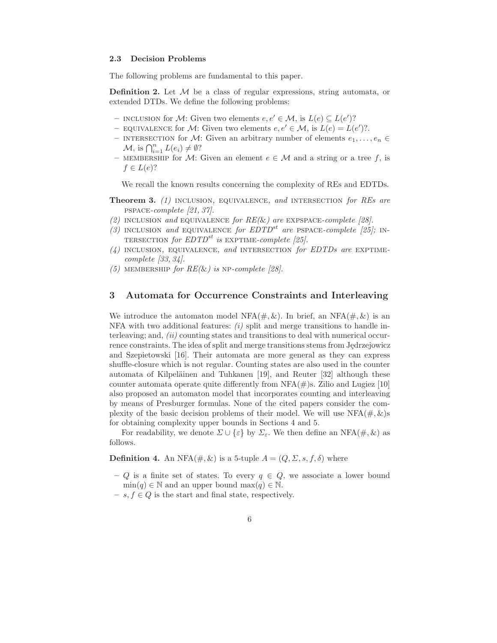#### 2.3 Decision Problems

The following problems are fundamental to this paper.

**Definition 2.** Let  $M$  be a class of regular expressions, string automata, or extended DTDs. We define the following problems:

- INCLUSION for M: Given two elements  $e, e' \in M$ , is  $L(e) \subseteq L(e')$ ?
- EQUIVALENCE for M: Given two elements  $e, e' \in M$ , is  $L(e) = L(e')$ ?.
- INTERSECTION for M: Given an arbitrary number of elements  $e_1, \ldots, e_n \in$  $\mathcal{M}$ , is  $\bigcap_{i=1}^n L(e_i) \neq \emptyset$ ?
- MEMBERSHIP for M: Given an element  $e \in M$  and a string or a tree f, is  $f \in L(e)$ ?

We recall the known results concerning the complexity of REs and EDTDs.

- Theorem 3. (1) INCLUSION, EQUIVALENCE, and INTERSECTION for REs are pspace-complete [21, 37].
- (2) INCLUSION and EQUIVALENCE for  $RE(\&)$  are EXPSPACE-complete [28].
- (3) INCLUSION and EQUIVALENCE for  $EDTD^{st}$  are PSPACE-complete [25]; IN-TERSECTION for  $EDTD^{st}$  is EXPTIME-complete [25].
- $(4)$  INCLUSION, EQUIVALENCE, and INTERSECTION for EDTDs are EXPTIMEcomplete [33, 34].
- (5) MEMBERSHIP for  $RE(\&)$  is NP-complete [28].

### 3 Automata for Occurrence Constraints and Interleaving

We introduce the automaton model NFA( $\#$ ,  $\&$ ). In brief, an NFA( $\#$ ,  $\&$ ) is an NFA with two additional features:  $(i)$  split and merge transitions to handle interleaving; and,  $(ii)$  counting states and transitions to deal with numerical occurrence constraints. The idea of split and merge transitions stems from Jedrzejowicz and Szepietowski [16]. Their automata are more general as they can express shuffle-closure which is not regular. Counting states are also used in the counter automata of Kilpeläinen and Tuhkanen  $[19]$ , and Reuter  $[32]$  although these counter automata operate quite differently from NFA $(\#)$ s. Zilio and Lugiez [10] also proposed an automaton model that incorporates counting and interleaving by means of Presburger formulas. None of the cited papers consider the complexity of the basic decision problems of their model. We will use  $NFA(\text{#}, \text{&})$ s for obtaining complexity upper bounds in Sections 4 and 5.

For readability, we denote  $\Sigma \cup \{\varepsilon\}$  by  $\Sigma_{\varepsilon}$ . We then define an NFA(#, &) as follows.

**Definition 4.** An NFA( $\#$ ,  $\&$ ) is a 5-tuple  $A = (Q, \Sigma, s, f, \delta)$  where

- Q is a finite set of states. To every  $q \in Q$ , we associate a lower bound  $\min(q) \in \mathbb{N}$  and an upper bound  $\max(q) \in \mathbb{N}$ .
- $s, f \in Q$  is the start and final state, respectively.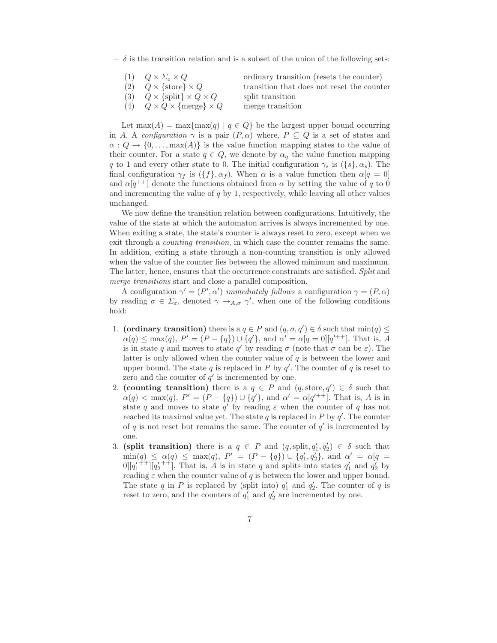$-\delta$  is the transition relation and is a subset of the union of the following sets:

| $(1)$ $Q \times \Sigma_{\varepsilon} \times Q$   | ordinary transition (resets the counter)   |
|--------------------------------------------------|--------------------------------------------|
| $(Q)$ $Q \times \{\text{store}\}\times Q$        | transition that does not reset the counter |
| (3) $Q \times \{\text{split}\}\times Q \times Q$ | split transition                           |

(4)  $Q \times Q \times \{\text{merge}\} \times Q$  merge transition

Let  $\max(A) = \max\{\max(q) | q \in Q\}$  be the largest upper bound occurring in A. A configuration  $\gamma$  is a pair  $(P, \alpha)$  where,  $P \subseteq Q$  is a set of states and  $\alpha: Q \to \{0, \ldots, \max(A)\}\$ is the value function mapping states to the value of their counter. For a state  $q \in Q$ , we denote by  $\alpha_q$  the value function mapping q to 1 and every other state to 0. The initial configuration  $\gamma_s$  is  $({s}, \alpha_s)$ . The final configuration  $\gamma_f$  is  $({f}, \alpha_f)$ . When  $\alpha$  is a value function then  $\alpha[q = 0]$ and  $\alpha[q^{++}]$  denote the functions obtained from  $\alpha$  by setting the value of q to 0 and incrementing the value of  $q$  by 1, respectively, while leaving all other values unchanged.

We now define the transition relation between configurations. Intuitively, the value of the state at which the automaton arrives is always incremented by one. When exiting a state, the state's counter is always reset to zero, except when we exit through a *counting transition*, in which case the counter remains the same. In addition, exiting a state through a non-counting transition is only allowed when the value of the counter lies between the allowed minimum and maximum. The latter, hence, ensures that the occurrence constraints are satisfied. Split and merge transitions start and close a parallel composition.

A configuration  $\gamma' = (P', \alpha')$  immediately follows a configuration  $\gamma = (P, \alpha)$ by reading  $\sigma \in \Sigma_{\varepsilon}$ , denoted  $\gamma \to_{A,\sigma} \gamma'$ , when one of the following conditions hold:

- 1. (ordinary transition) there is a  $q \in P$  and  $(q, \sigma, q') \in \delta$  such that  $\min(q) \leq$  $\alpha(q) \le \max(q), P' = (P - \{q\}) \cup \{q'\}, \text{ and } \alpha' = \alpha[q = 0][q'^{++}]. \text{ That is, } A$ is in state q and moves to state q' by reading  $\sigma$  (note that  $\sigma$  can be  $\varepsilon$ ). The latter is only allowed when the counter value of  $q$  is between the lower and upper bound. The state q is replaced in P by  $q'$ . The counter of q is reset to zero and the counter of  $q'$  is incremented by one.
- 2. (counting transition) there is a  $q \in P$  and  $(q, \text{store}, q') \in \delta$  such that  $\alpha(q) < \max(q), P' = (P - \{q\}) \cup \{q'\}, \text{ and } \alpha' = \alpha[q'^{++}]. \text{ That is, } A \text{ is in }$ state q and moves to state q' by reading  $\varepsilon$  when the counter of q has not reached its maximal value yet. The state  $q$  is replaced in P by  $q'$ . The counter of q is not reset but remains the same. The counter of  $q'$  is incremented by one.
- 3. (split transition) there is a  $q \in P$  and  $(q, \text{split}, q'_1, q'_2) \in \delta$  such that  $\min(q) \leq \alpha(q) \leq \max(q), P' = (P - \{q\}) \cup \{q'_1, q'_2\}, \text{ and } \alpha' = \alpha|q =$  $0\left[\left[q_1'\right]^{+\frac{1}{+}}\right]\left[q_2'\right]^{+\frac{1}{+}}$ . That is, A is in state q and splits into states  $q_1'$  and  $q_2'$  by reading  $\varepsilon$  when the counter value of q is between the lower and upper bound. The state q in P is replaced by (split into)  $q'_1$  and  $q'_2$ . The counter of q is reset to zero, and the counters of  $q'_1$  and  $q'_2$  are incremented by one.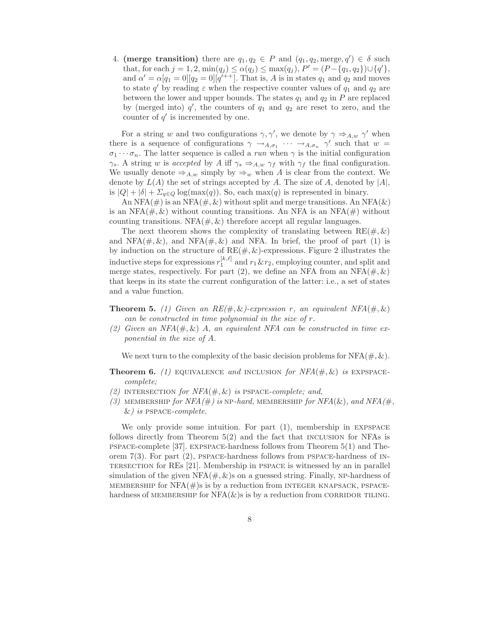4. (merge transition) there are  $q_1, q_2 \in P$  and  $(q_1, q_2, \text{merge}, q') \in \delta$  such that, for each  $j = 1, 2, \min(q_j) \leq \alpha(q_j) \leq \max(q_j)$ ,  $P' = (P - \{q_1, q_2\}) \cup \{q'\},$ and  $\alpha' = \alpha[q_1 = 0][q_2 = 0][q'^{++}]$ . That is, A is in states  $q_1$  and  $q_2$  and moves to state q' by reading  $\varepsilon$  when the respective counter values of  $q_1$  and  $q_2$  are between the lower and upper bounds. The states  $q_1$  and  $q_2$  in P are replaced by (merged into)  $q'$ , the counters of  $q_1$  and  $q_2$  are reset to zero, and the counter of  $q'$  is incremented by one.

For a string w and two configurations  $\gamma$ ,  $\gamma'$ , we denote by  $\gamma \Rightarrow_{A,w} \gamma'$  when there is a sequence of configurations  $\gamma \to_{A,\sigma_1} \cdots \to_{A,\sigma_n} \gamma'$  such that  $w =$  $\sigma_1 \cdots \sigma_n$ . The latter sequence is called a run when  $\gamma$  is the initial configuration  $\gamma_s$ . A string w is accepted by A iff  $\gamma_s \Rightarrow_{A,w} \gamma_f$  with  $\gamma_f$  the final configuration. We usually denote  $\Rightarrow_{A,w}$  simply by  $\Rightarrow_w$  when A is clear from the context. We denote by  $L(A)$  the set of strings accepted by A. The size of A, denoted by  $|A|$ , is  $|Q| + |\delta| + \sum_{q \in Q} \log(\max(q))$ . So, each max $(q)$  is represented in binary.

An NFA( $\#$ ) is an NFA( $\#$ ,  $\&$ ) without split and merge transitions. An NFA( $\&$ ) is an NFA( $\#$ ,  $\&$ ) without counting transitions. An NFA is an NFA( $\#$ ) without counting transitions. NFA $(\#, \&)$  therefore accept all regular languages.

The next theorem shows the complexity of translating between  $RE(\#, \&)$ and NFA( $\#$ ,  $\&$ ), and NFA( $\#$ ,  $\&$ ) and NFA. In brief, the proof of part (1) is by induction on the structure of  $RE(\#, \&)$ -expressions. Figure 2 illustrates the inductive steps for expressions  $r_1^{[k,\ell]}$  and  $r_1 \& r_2$ , employing counter, and split and merge states, respectively. For part (2), we define an NFA from an NFA $(\#, \&)$ that keeps in its state the current configuration of the latter: i.e., a set of states and a value function.

- **Theorem 5.** (1) Given an RE(#, &)-expression r, an equivalent  $NFA(\#,\&)$ can be constructed in time polynomial in the size of r.
- (2) Given an NFA( $\#$ , &) A, an equivalent NFA can be constructed in time exponential in the size of A.

We next turn to the complexity of the basic decision problems for  $NFA(\text{#}, \&)$ .

- **Theorem 6.** (1) EQUIVALENCE and INCLUSION for  $NFA(\text{\#}, \text{\&})$  is EXPSPACEcomplete;
- (2) INTERSECTION for  $NFA(\text{#}, \&)$  is PSPACE-complete; and,
- (3) MEMBERSHIP for  $NFA(\#)$  is NP-hard, MEMBERSHIP for  $NFA(\&)$ , and  $NFA(\#)$ ,  $\&$ ) is PSPACE-complete.

We only provide some intuition. For part  $(1)$ , membership in EXPSPACE follows directly from Theorem 5(2) and the fact that inclusion for NFAs is pspace-complete [37]. expspace-hardness follows from Theorem 5(1) and Theorem 7(3). For part (2), pspace-hardness follows from pspace-hardness of intersection for REs [21]. Membership in pspace is witnessed by an in parallel simulation of the given  $NFA(\text{\#}, \text{\&})$  s on a guessed string. Finally, NP-hardness of MEMBERSHIP for  $NFA(\#)s$  is by a reduction from INTEGER KNAPSACK, PSPACEhardness of MEMBERSHIP for  $NFA(\&)$ s is by a reduction from CORRIDOR TILING.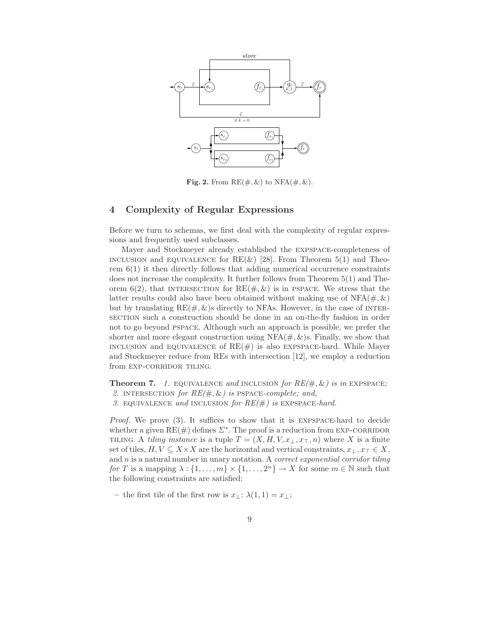

Fig. 2. From  $RE(\#, \&)$  to  $NFA(\#, \&)$ .

## 4 Complexity of Regular Expressions

Before we turn to schemas, we first deal with the complexity of regular expressions and frequently used subclasses.

Mayer and Stockmeyer already established the expspace-completeness of INCLUSION and EQUIVALENCE for  $RE(\&)$  [28]. From Theorem 5(1) and Theorem  $6(1)$  it then directly follows that adding numerical occurrence constraints does not increase the complexity. It further follows from Theorem 5(1) and Theorem 6(2), that INTERSECTION for  $RE(\#, \&)$  is in PSPACE. We stress that the latter results could also have been obtained without making use of  $NFA(\text{#}, \&)$ but by translating  $RE(\#, \&)$ s directly to NFAs. However, in the case of INTERsection such a construction should be done in an on-the-fly fashion in order not to go beyond pspace. Although such an approach is possible, we prefer the shorter and more elegant construction using  $NFA(\#, \&)$ s. Finally, we show that INCLUSION and EQUIVALENCE of  $RE(\#)$  is also EXPSPACE-hard. While Mayer and Stockmeyer reduce from REs with intersection [12], we employ a reduction from EXP-CORRIDOR TILING.

**Theorem 7.** 1. EQUIVALENCE and INCLUSION for  $RE(\#,\&)$  is in EXPSPACE; 2. INTERSECTION for  $RE(\#, \&)$  is PSPACE-complete; and, 3. EQUIVALENCE and INCLUSION for  $RE(\#)$  is EXPSPACE-hard.

Proof. We prove (3). It suffices to show that it is EXPSPACE-hard to decide whether a given  $RE(\#)$  defines  $\Sigma^*$ . The proof is a reduction from EXP-CORRIDOR TILING. A tiling instance is a tuple  $T = (X, H, V, x_{\perp}, x_{\top}, n)$  where X is a finite set of tiles,  $H, V \subseteq X \times X$  are the horizontal and vertical constraints,  $x_{\perp}, x_{\perp} \in X$ , and  $n$  is a natural number in unary notation. A *correct exponential corridor tiling* for T is a mapping  $\lambda : \{1, \ldots, m\} \times \{1, \ldots, 2^n\} \to X$  for some  $m \in \mathbb{N}$  such that the following constraints are satisfied:

– the first tile of the first row is  $x_\perp$ :  $\lambda(1,1) = x_\perp$ ;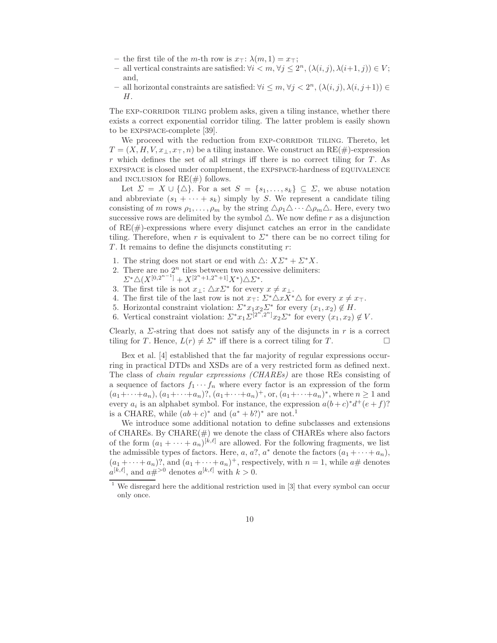- the first tile of the m-th row is  $x\tau: \lambda(m, 1) = x\tau;$
- $-$  all vertical constraints are satisfied: ∀i < m, ∀j ≤ 2<sup>n</sup>, ( $\lambda(i, j)$ ,  $\lambda(i+1, j)$ ) ∈ V; and,
- $-$  all horizontal constraints are satisfied:  $\forall i \leq m, \forall j < 2<sup>n</sup>, (\lambda(i, j), \lambda(i, j+1))$  ∈  $H$ .

The EXP-CORRIDOR TILING problem asks, given a tiling instance, whether there exists a correct exponential corridor tiling. The latter problem is easily shown to be expspace-complete [39].

We proceed with the reduction from EXP-CORRIDOR TILING. Thereto, let  $T = (X, H, V, x_{\perp}, x_{\perp}, n)$  be a tiling instance. We construct an RE(#)-expression  $r$  which defines the set of all strings iff there is no correct tiling for  $T$ . As expspace is closed under complement, the expspace-hardness of equivalence and INCLUSION for  $RE(\#)$  follows.

Let  $\Sigma = X \cup {\{\triangle\}}$ . For a set  $S = {s_1, \ldots, s_k} \subseteq \Sigma$ , we abuse notation and abbreviate  $(s_1 + \cdots + s_k)$  simply by S. We represent a candidate tiling consisting of m rows  $\rho_1, \ldots, \rho_m$  by the string  $\Delta \rho_1 \Delta \cdots \Delta \rho_m \Delta$ . Here, every two successive rows are delimited by the symbol  $\Delta$ . We now define r as a disjunction of  $RE(\#)$ -expressions where every disjunct catches an error in the candidate tiling. Therefore, when r is equivalent to  $\Sigma^*$  there can be no correct tiling for T. It remains to define the disjuncts constituting  $r$ :

- 1. The string does not start or end with  $\triangle: X\Sigma^* + \Sigma^* X$ .
- 2. There are no  $2<sup>n</sup>$  tiles between two successive delimiters:
- $\Sigma^* \triangle (X^{[0,2^{n-1}]} + X^{[2^n+1,2^n+1]} X^*) \triangle \Sigma^*$ .
- 3. The first tile is not  $x_{\perp}$ :  $\triangle x \Sigma^*$  for every  $x \neq x_{\perp}$ .
- 4. The first tile of the last row is not  $x\tau: \Sigma^* \triangle x X^* \triangle$  for every  $x \neq x\tau$ .
- 
- 5. Horizontal constraint violation:  $\Sigma^* x_1 x_2 \Sigma^*$  for every  $(x_1, x_2) \notin H$ .<br>6. Vertical constraint violation:  $\Sigma^* x_1 \Sigma^{[2^n, 2^n]} x_2 \Sigma^*$  for every  $(x_1, x_2) \notin V$ .

Clearly, a  $\Sigma$ -string that does not satisfy any of the disjuncts in r is a correct tiling for T. Hence,  $L(r) \neq \Sigma^*$  iff there is a correct tiling for T.

Bex et al. [4] established that the far majority of regular expressions occurring in practical DTDs and XSDs are of a very restricted form as defined next. The class of chain regular expressions (CHAREs) are those REs consisting of a sequence of factors  $f_1 \cdots f_n$  where every factor is an expression of the form  $(a_1+\cdots+a_n), (a_1+\cdots+a_n)$ ?,  $(a_1+\cdots+a_n)^+$ , or,  $(a_1+\cdots+a_n)^*$ , where  $n\geq 1$  and every  $a_i$  is an alphabet symbol. For instance, the expression  $a(b+c)^*d^+(e+f)$ ? is a CHARE, while  $(ab + c)^*$  and  $(a^* + b?)^*$  are not.<sup>1</sup>

We introduce some additional notation to define subclasses and extensions of CHAREs. By CHARE $(\#)$  we denote the class of CHAREs where also factors of the form  $(a_1 + \cdots + a_n)^{[k,\ell]}$  are allowed. For the following fragments, we list the admissible types of factors. Here, a, a?, a\* denote the factors  $(a_1 + \cdots + a_n)$ ,  $(a_1 + \cdots + a_n)$ ?, and  $(a_1 + \cdots + a_n)^+$ , respectively, with  $n = 1$ , while  $a \#$  denotes  $a^{[k,\ell]}$ , and  $a\#^{>0}$  denotes  $a^{[k,\ell]}$  with  $k>0$ .

 $1$  We disregard here the additional restriction used in [3] that every symbol can occur only once.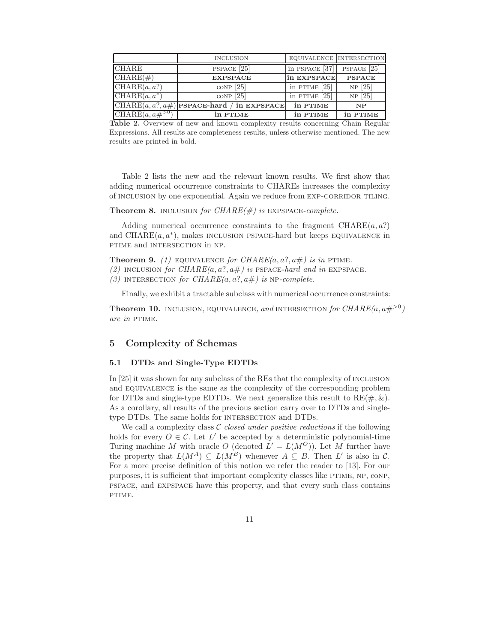|                                  | <b>INCLUSION</b>                                                              |                 | EQUIVALENCE INTERSECTION |
|----------------------------------|-------------------------------------------------------------------------------|-----------------|--------------------------|
| <b>CHARE</b>                     | PSPACE [25]                                                                   | in PSPACE [37]  | $PSPACE$ [25]            |
| $CHARE(\#)$                      | <b>EXPSPACE</b>                                                               | in EXPSPACE     | <b>PSPACE</b>            |
| $\overline{\text{CHARE}}(a, a?)$ | $\text{coNP}$ [25]                                                            | in PTIME $[25]$ | $NP$ [25]                |
| $CHARE(a, a^*)$                  | $\text{coNP}$ [25]                                                            | in PTIME $[25]$ | $NP$ [25]                |
|                                  | $[CHARE(a, a?, a\#)]PSPACE$ -hard / in EXPSPACE                               | in PTIME        | NP                       |
| CHARE $(a, a\#^{>0})$            | in PTIME                                                                      | in PTIME        | in PTIME                 |
|                                  | Toble 2. Overview of new and known complexity results concerning Chain Bogyle |                 |                          |

Table 2. Overview of new and known complexity results concerning Chain Regular Expressions. All results are completeness results, unless otherwise mentioned. The new results are printed in bold.

Table 2 lists the new and the relevant known results. We first show that adding numerical occurrence constraints to CHAREs increases the complexity of INCLUSION by one exponential. Again we reduce from EXP-CORRIDOR TILING.

**Theorem 8.** INCLUSION for CHARE(#) is EXPSPACE-complete.

Adding numerical occurrence constraints to the fragment  $CHARE(a, a?)$ and  $\text{CHARE}(a, a^*)$ , makes INCLUSION PSPACE-hard but keeps EQUIVALENCE in ptime and intersection in np.

**Theorem 9.** (1) EQUIVALENCE for CHARE $(a, a?, a\#)$  is in PTIME.

- (2) INCLUSION for CHARE $(a, a?, a\#)$  is PSPACE-hard and in EXPSPACE.
- (3) INTERSECTION for CHARE $(a, a?, a\#)$  is NP-complete.

Finally, we exhibit a tractable subclass with numerical occurrence constraints:

**Theorem 10.** INCLUSION, EQUIVALENCE, and INTERSECTION for CHARE(a,  $a\#^{>0}$ ) are in PTIME.

# 5 Complexity of Schemas

#### 5.1 DTDs and Single-Type EDTDs

In [25] it was shown for any subclass of the REs that the complexity of INCLUSION and equivalence is the same as the complexity of the corresponding problem for DTDs and single-type EDTDs. We next generalize this result to  $RE(\#, \&)$ . As a corollary, all results of the previous section carry over to DTDs and singletype DTDs. The same holds for INTERSECTION and DTDs.

We call a complexity class  $C$  *closed under positive reductions* if the following holds for every  $O \in \mathcal{C}$ . Let L' be accepted by a deterministic polynomial-time Turing machine M with oracle O (denoted  $L' = L(M^O)$ ). Let M further have the property that  $L(M^A) \subseteq L(M^B)$  whenever  $A \subseteq B$ . Then L' is also in C. For a more precise definition of this notion we refer the reader to [13]. For our purposes, it is sufficient that important complexity classes like ptime, np, conp, pspace, and expspace have this property, and that every such class contains PTIME.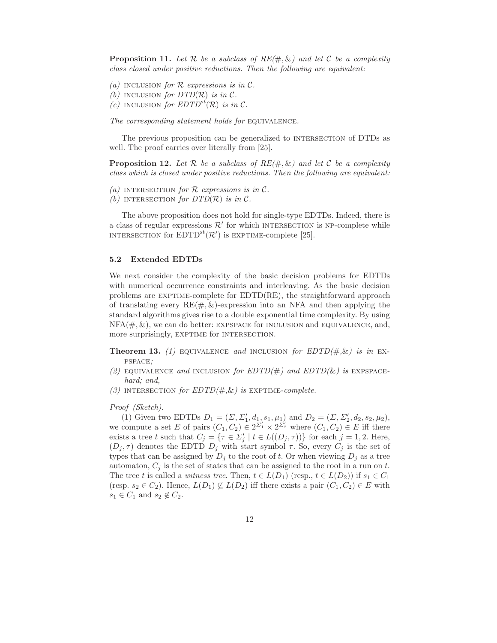**Proposition 11.** Let R be a subclass of  $RE(\#,\&)$  and let C be a complexity class closed under positive reductions. Then the following are equivalent:

- (a) INCLUSION for  $R$  expressions is in  $C$ .
- (b) INCLUSION for  $DTD(\mathcal{R})$  is in  $\mathcal{C}$ .
- (c) INCLUSION for  $EDTD^{st}(\mathcal{R})$  is in C.

The corresponding statement holds for EQUIVALENCE.

The previous proposition can be generalized to intersection of DTDs as well. The proof carries over literally from [25].

**Proposition 12.** Let  $\mathcal{R}$  be a subclass of  $RE(\#,\&)$  and let  $\mathcal{C}$  be a complexity class which is closed under positive reductions. Then the following are equivalent:

- (a) INTERSECTION for  $R$  expressions is in  $C$ .
- (b) INTERSECTION for  $DTD(\mathcal{R})$  is in  $\mathcal{C}$ .

The above proposition does not hold for single-type EDTDs. Indeed, there is a class of regular expressions  $\mathcal{R}'$  for which INTERSECTION is NP-complete while INTERSECTION for  $\mathrm{EDTD}^{\mathrm{st}}(\mathcal{R}')$  is EXPTIME-complete [25].

#### 5.2 Extended EDTDs

We next consider the complexity of the basic decision problems for EDTDs with numerical occurrence constraints and interleaving. As the basic decision problems are EXPTIME-complete for  $EDTD(RE)$ , the straightforward approach of translating every  $RE(\#, \&)$ -expression into an NFA and then applying the standard algorithms gives rise to a double exponential time complexity. By using  $NFA(\#, \&),$  we can do better: EXPSPACE for INCLUSION and EQUIVALENCE, and, more surprisingly, EXPTIME for INTERSECTION.

**Theorem 13.** (1) EQUIVALENCE and INCLUSION for  $EDTD(\#.\&)$  is in EXpspace;

- (2) EQUIVALENCE and INCLUSION for  $EDTD(\#)$  and  $EDTD(\&)$  is EXPSPACEhard; and,
- (3) INTERSECTION for  $EDTD(\#.\&)$  is EXPTIME-complete.

#### Proof (Sketch).

(1) Given two EDTDs  $D_1 = (\Sigma, \Sigma'_1, d_1, s_1, \mu_1)$  and  $D_2 = (\Sigma, \Sigma'_2, d_2, s_2, \mu_2)$ , we compute a set E of pairs  $(C_1, C_2) \in 2^{\sum_{1}^{\prime}} \times 2^{\sum_{2}^{\prime}}$  where  $(C_1, C_2) \in E$  iff there exists a tree t such that  $C_j = \{ \tau \in \Sigma'_j \mid t \in L((D_j, \tau)) \}$  for each  $j = 1, 2$ . Here,  $(D_i, \tau)$  denotes the EDTD  $D_i$  with start symbol  $\tau$ . So, every  $C_i$  is the set of types that can be assigned by  $D_i$  to the root of t. Or when viewing  $D_i$  as a tree automaton,  $C_i$  is the set of states that can be assigned to the root in a run on t. The tree t is called a witness tree. Then,  $t \in L(D_1)$  (resp.,  $t \in L(D_2)$ ) if  $s_1 \in C_1$ (resp.  $s_2 \in C_2$ ). Hence,  $L(D_1) \not\subseteq L(D_2)$  iff there exists a pair  $(C_1, C_2) \in E$  with  $s_1 \in C_1$  and  $s_2 \notin C_2$ .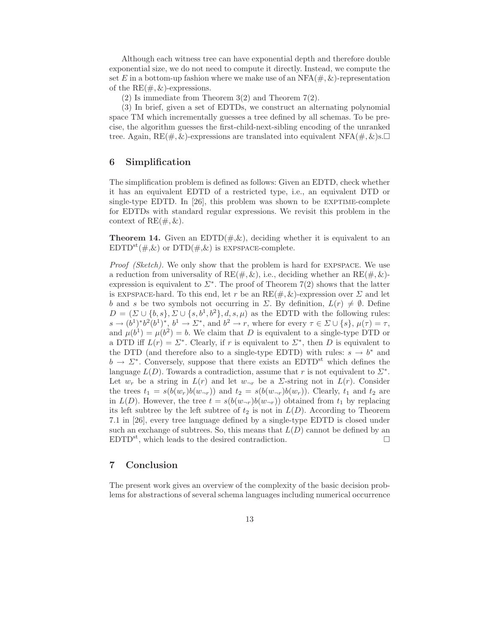Although each witness tree can have exponential depth and therefore double exponential size, we do not need to compute it directly. Instead, we compute the set E in a bottom-up fashion where we make use of an  $NFA(\#, \&)$ -representation of the  $RE(\#,\&)$ -expressions.

(2) Is immediate from Theorem 3(2) and Theorem 7(2).

(3) In brief, given a set of EDTDs, we construct an alternating polynomial space TM which incrementally guesses a tree defined by all schemas. To be precise, the algorithm guesses the first-child-next-sibling encoding of the unranked tree. Again, RE( $\#$ ,  $\&$ )-expressions are translated into equivalent NFA( $\#$ ,  $\&$ )s.

## 6 Simplification

The simplification problem is defined as follows: Given an EDTD, check whether it has an equivalent EDTD of a restricted type, i.e., an equivalent DTD or single-type EDTD. In  $[26]$ , this problem was shown to be EXPTIME-complete for EDTDs with standard regular expressions. We revisit this problem in the context of  $RE(\#,\&)$ .

**Theorem 14.** Given an EDTD( $\#.\&$ ), deciding whether it is equivalent to an  $EDTD^{st}(\#, \&)$  or  $DTD(\#, \&)$  is EXPSPACE-complete.

Proof (Sketch). We only show that the problem is hard for EXPSPACE. We use a reduction from universality of RE( $\#$ ,  $\&$ ), i.e., deciding whether an RE( $\#$ ,  $\&$ ) expression is equivalent to  $\Sigma^*$ . The proof of Theorem 7(2) shows that the latter is EXPSPACE-hard. To this end, let r be an  $RE(\#, \&)$ -expression over  $\Sigma$  and let b and s be two symbols not occurring in  $\Sigma$ . By definition,  $L(r) \neq \emptyset$ . Define  $D = (\Sigma \cup \{b, s\}, \Sigma \cup \{s, b^1, b^2\}, d, s, \mu)$  as the EDTD with the following rules:  $s \to (b^1)^* b^2 (b^1)^*, b^1 \to \Sigma^*,$  and  $b^2 \to r$ , where for every  $\tau \in \Sigma \cup \{s\}, \mu(\tau) = \tau$ , and  $\mu(b^1) = \mu(b^2) = b$ . We claim that D is equivalent to a single-type DTD or a DTD iff  $L(r) = \Sigma^*$ . Clearly, if r is equivalent to  $\Sigma^*$ , then D is equivalent to the DTD (and therefore also to a single-type EDTD) with rules:  $s \to b^*$  and  $b \to \Sigma^*$ . Conversely, suppose that there exists an EDTD<sup>st</sup> which defines the language  $L(D)$ . Towards a contradiction, assume that r is not equivalent to  $\mathcal{L}^*$ . Let  $w_r$  be a string in  $L(r)$  and let  $w_{\neg r}$  be a  $\Sigma$ -string not in  $L(r)$ . Consider the trees  $t_1 = s(b(w_r)b(w_{\neg r}))$  and  $t_2 = s(b(w_{\neg r})b(w_r))$ . Clearly,  $t_1$  and  $t_2$  are in  $L(D)$ . However, the tree  $t = s(b(w_{\neg r})b(w_{\neg r}))$  obtained from  $t_1$  by replacing its left subtree by the left subtree of  $t_2$  is not in  $L(D)$ . According to Theorem 7.1 in [26], every tree language defined by a single-type EDTD is closed under such an exchange of subtrees. So, this means that  $L(D)$  cannot be defined by an  $EDTD<sup>st</sup>$ , which leads to the desired contradiction.

## 7 Conclusion

The present work gives an overview of the complexity of the basic decision problems for abstractions of several schema languages including numerical occurrence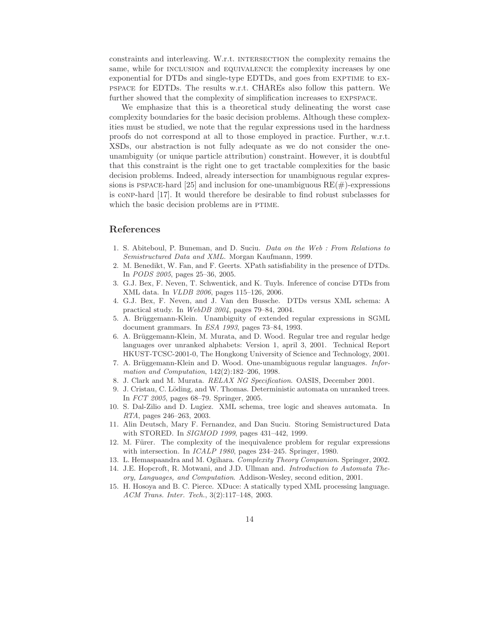constraints and interleaving. W.r.t. intersection the complexity remains the same, while for INCLUSION and EQUIVALENCE the complexity increases by one exponential for DTDs and single-type EDTDs, and goes from EXPTIME to EXpspace for EDTDs. The results w.r.t. CHAREs also follow this pattern. We further showed that the complexity of simplification increases to expspace.

We emphasize that this is a theoretical study delineating the worst case complexity boundaries for the basic decision problems. Although these complexities must be studied, we note that the regular expressions used in the hardness proofs do not correspond at all to those employed in practice. Further, w.r.t. XSDs, our abstraction is not fully adequate as we do not consider the oneunambiguity (or unique particle attribution) constraint. However, it is doubtful that this constraint is the right one to get tractable complexities for the basic decision problems. Indeed, already intersection for unambiguous regular expressions is PSPACE-hard [25] and inclusion for one-unambiguous  $RE(\#)$ -expressions is conp-hard [17]. It would therefore be desirable to find robust subclasses for which the basic decision problems are in PTIME.

## References

- 1. S. Abiteboul, P. Buneman, and D. Suciu. Data on the Web : From Relations to Semistructured Data and XML. Morgan Kaufmann, 1999.
- 2. M. Benedikt, W. Fan, and F. Geerts. XPath satisfiability in the presence of DTDs. In PODS 2005, pages 25–36, 2005.
- 3. G.J. Bex, F. Neven, T. Schwentick, and K. Tuyls. Inference of concise DTDs from XML data. In VLDB 2006, pages 115–126, 2006.
- 4. G.J. Bex, F. Neven, and J. Van den Bussche. DTDs versus XML schema: A practical study. In WebDB 2004, pages 79–84, 2004.
- 5. A. Brüggemann-Klein. Unambiguity of extended regular expressions in SGML document grammars. In ESA 1993, pages 73–84, 1993.
- 6. A. Brüggemann-Klein, M. Murata, and D. Wood. Regular tree and regular hedge languages over unranked alphabets: Version 1, april 3, 2001. Technical Report HKUST-TCSC-2001-0, The Hongkong University of Science and Technology, 2001.
- 7. A. Brüggemann-Klein and D. Wood. One-unambiguous regular languages. Information and Computation, 142(2):182–206, 1998.
- 8. J. Clark and M. Murata. RELAX NG Specification. OASIS, December 2001.
- 9. J. Cristau, C. Löding, and W. Thomas. Deterministic automata on unranked trees. In FCT 2005, pages 68–79. Springer, 2005.
- 10. S. Dal-Zilio and D. Lugiez. XML schema, tree logic and sheaves automata. In RTA, pages 246–263, 2003.
- 11. Alin Deutsch, Mary F. Fernandez, and Dan Suciu. Storing Semistructured Data with STORED. In SIGMOD 1999, pages 431–442, 1999.
- 12. M. Fürer. The complexity of the inequivalence problem for regular expressions with intersection. In ICALP 1980, pages 234–245. Springer, 1980.
- 13. L. Hemaspaandra and M. Ogihara. Complexity Theory Companion. Springer, 2002.
- 14. J.E. Hopcroft, R. Motwani, and J.D. Ullman and. Introduction to Automata Theory, Languages, and Computation. Addison-Wesley, second edition, 2001.
- 15. H. Hosoya and B. C. Pierce. XDuce: A statically typed XML processing language. ACM Trans. Inter. Tech., 3(2):117–148, 2003.